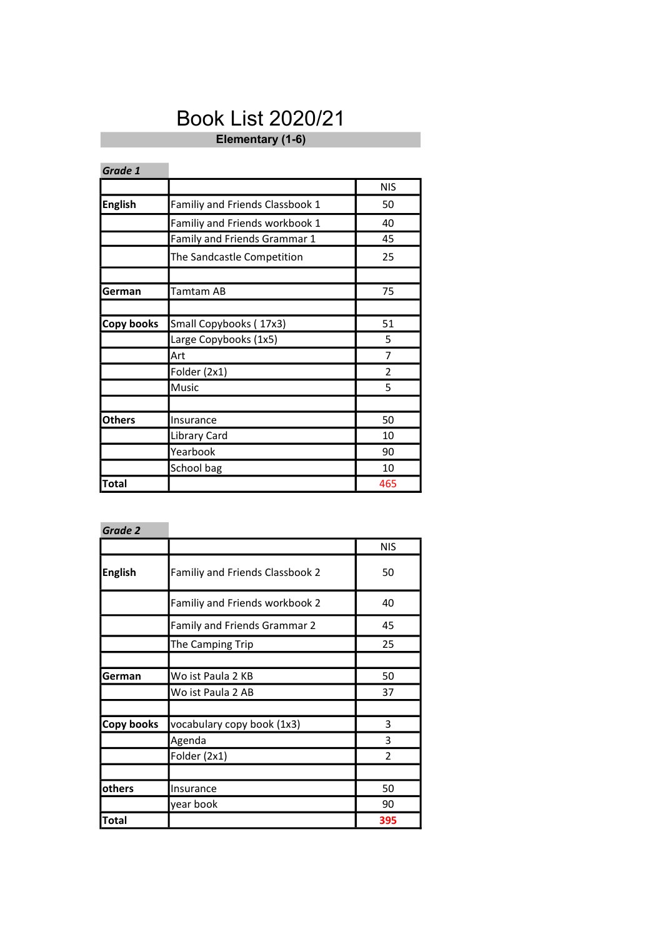## Book List 2020/21

Elementary (1-6)

-

| Grade 1        |                                 |                |
|----------------|---------------------------------|----------------|
|                |                                 | <b>NIS</b>     |
| <b>English</b> | Familiy and Friends Classbook 1 | 50             |
|                | Familiy and Friends workbook 1  | 40             |
|                | Family and Friends Grammar 1    | 45             |
|                | The Sandcastle Competition      | 25             |
|                |                                 |                |
| German         | Tamtam AB                       | 75             |
|                |                                 |                |
| Copy books     | Small Copybooks (17x3)          | 51             |
|                | Large Copybooks (1x5)           | 5              |
|                | Art                             | 7              |
|                | Folder (2x1)                    | $\overline{2}$ |
|                | Music                           | 5              |
|                |                                 |                |
| Others         | Insurance                       | 50             |
|                | Library Card                    | 10             |
|                | Yearbook                        | 90             |
|                | School bag                      | 10             |
| <b>Total</b>   |                                 | 465            |

| Grade 2        |                                 |                |
|----------------|---------------------------------|----------------|
|                |                                 | <b>NIS</b>     |
| <b>English</b> | Familiy and Friends Classbook 2 | 50             |
|                | Familiy and Friends workbook 2  | 40             |
|                | Family and Friends Grammar 2    | 45             |
|                | The Camping Trip                | 25             |
|                |                                 |                |
| German         | Wo ist Paula 2 KB               | 50             |
|                | Wo ist Paula 2 AB               | 37             |
|                |                                 |                |
| Copy books     | vocabulary copy book (1x3)      | 3              |
|                | Agenda                          | 3              |
|                | Folder (2x1)                    | $\mathfrak{p}$ |
|                |                                 |                |
| others         | Insurance                       | 50             |
|                | year book                       | 90             |
| <b>Total</b>   |                                 | 395            |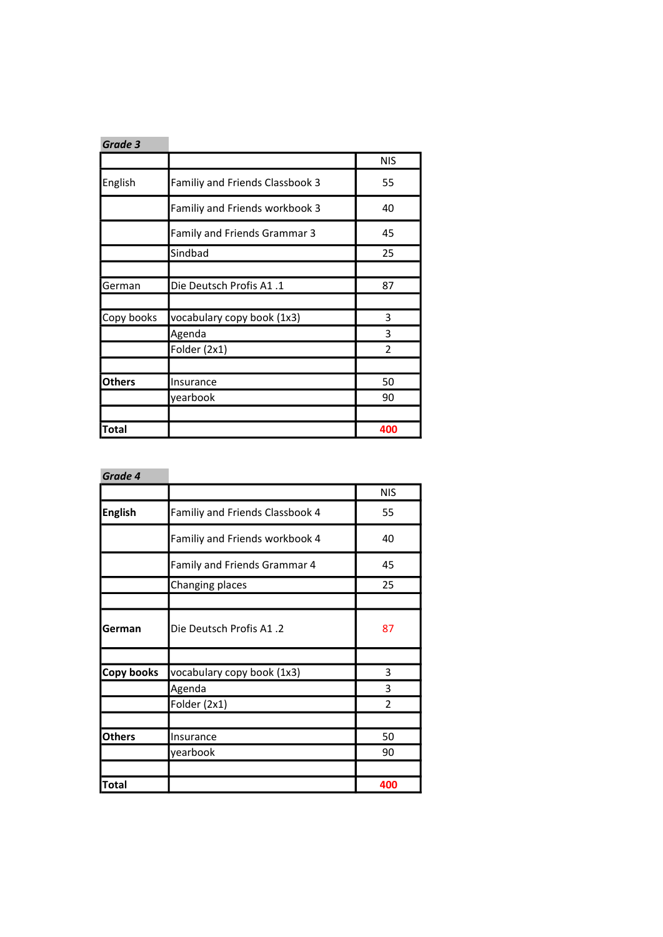| Grade 3       |                                 |            |
|---------------|---------------------------------|------------|
|               |                                 | <b>NIS</b> |
| English       | Familiy and Friends Classbook 3 | 55         |
|               | Familiy and Friends workbook 3  | 40         |
|               | Family and Friends Grammar 3    | 45         |
|               | Sindbad                         | 25         |
|               |                                 |            |
| German        | Die Deutsch Profis A1.1         | 87         |
|               |                                 |            |
| Copy books    | vocabulary copy book (1x3)      | 3          |
|               | Agenda                          | 3          |
|               | Folder (2x1)                    | 2          |
|               |                                 |            |
| <b>Others</b> | Insurance                       | 50         |
|               | yearbook                        | 90         |
|               |                                 |            |
| <b>Total</b>  |                                 | 400        |

| Grade 4        |                                 |               |
|----------------|---------------------------------|---------------|
|                |                                 | <b>NIS</b>    |
| <b>English</b> | Familiy and Friends Classbook 4 | 55            |
|                | Familiy and Friends workbook 4  | 40            |
|                | Family and Friends Grammar 4    | 45            |
|                | Changing places                 | 25            |
|                |                                 |               |
| German         | Die Deutsch Profis A1.2         | 87            |
|                |                                 |               |
| Copy books     | vocabulary copy book (1x3)      | 3             |
|                | Agenda                          | 3             |
|                | Folder (2x1)                    | $\mathfrak z$ |
|                |                                 |               |
| <b>Others</b>  | Insurance                       | 50            |
|                | yearbook                        | 90            |
|                |                                 |               |
| Total          |                                 | 400           |